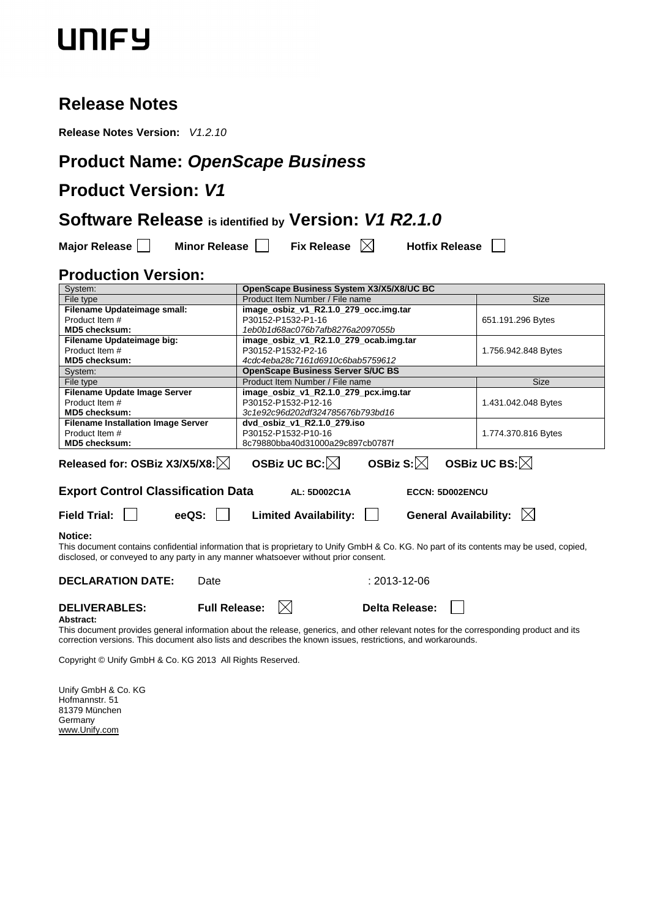### **Release Notes**

**Release Notes Version:** V1.2.10

## **Product Name: OpenScape Business**

## **Product Version: V1**

### **Software Release is identified by Version: V1 R2.1.0**

| <b>Major Release</b> |  |
|----------------------|--|
|----------------------|--|

**Minor Release Mullet Release Mullet Release Nullet Release Nullet Release** 

### **Production Version:**

| System:                                                                                                                                                                                                                                           | OpenScape Business System X3/X5/X8/UC BC                                                                                                                       |                     |  |  |
|---------------------------------------------------------------------------------------------------------------------------------------------------------------------------------------------------------------------------------------------------|----------------------------------------------------------------------------------------------------------------------------------------------------------------|---------------------|--|--|
| File type                                                                                                                                                                                                                                         | Product Item Number / File name                                                                                                                                | <b>Size</b>         |  |  |
| Filename Updateimage small:                                                                                                                                                                                                                       | image_osbiz_v1_R2.1.0_279_occ.img.tar                                                                                                                          |                     |  |  |
| Product Item #                                                                                                                                                                                                                                    | P30152-P1532-P1-16                                                                                                                                             | 651.191.296 Bytes   |  |  |
| <b>MD5 checksum:</b>                                                                                                                                                                                                                              | 1eb0b1d68ac076b7afb8276a2097055b                                                                                                                               |                     |  |  |
| Filename Updateimage big:                                                                                                                                                                                                                         | image osbiz v1 R2.1.0 279 ocab.img.tar                                                                                                                         |                     |  |  |
| Product Item #                                                                                                                                                                                                                                    | P30152-P1532-P2-16                                                                                                                                             | 1.756.942.848 Bytes |  |  |
| <b>MD5 checksum:</b>                                                                                                                                                                                                                              | 4cdc4eba28c7161d6910c6bab5759612                                                                                                                               |                     |  |  |
| System:                                                                                                                                                                                                                                           | <b>OpenScape Business Server S/UC BS</b>                                                                                                                       |                     |  |  |
| File type                                                                                                                                                                                                                                         | Product Item Number / File name                                                                                                                                | <b>Size</b>         |  |  |
| Filename Update Image Server                                                                                                                                                                                                                      | image osbiz v1 R2.1.0 279 pcx.img.tar                                                                                                                          |                     |  |  |
| Product Item #                                                                                                                                                                                                                                    | P30152-P1532-P12-16                                                                                                                                            | 1.431.042.048 Bytes |  |  |
| MD5 checksum:                                                                                                                                                                                                                                     | 3c1e92c96d202df324785676b793bd16                                                                                                                               |                     |  |  |
| <b>Filename Installation Image Server</b>                                                                                                                                                                                                         | dvd osbiz v1 R2.1.0 279.iso                                                                                                                                    |                     |  |  |
| Product Item #                                                                                                                                                                                                                                    | P30152-P1532-P10-16                                                                                                                                            | 1.774.370.816 Bytes |  |  |
| <b>MD5 checksum:</b>                                                                                                                                                                                                                              | 8c79880bba40d31000a29c897cb0787f                                                                                                                               |                     |  |  |
| OSBiz S: $\boxtimes$<br>OSBiz UC BS: $\boxtimes$<br>OSBiz UC BC: $ \times $<br>Released for: OSBiz X3/X5/X8: $ \times $                                                                                                                           |                                                                                                                                                                |                     |  |  |
| <b>Export Control Classification Data</b>                                                                                                                                                                                                         | AL: 5D002C1A<br><b>ECCN: 5D002ENCU</b>                                                                                                                         |                     |  |  |
| General Availability: $\boxtimes$<br><b>Field Trial:</b><br>eeQS:<br><b>Limited Availability:</b><br>$\mathbf{I}$                                                                                                                                 |                                                                                                                                                                |                     |  |  |
| <b>Notice:</b><br>This document contains confidential information that is proprietary to Unify GmbH & Co. KG. No part of its contents may be used, copied,<br>disclosed, or conveyed to any party in any manner whatsoever without prior consent. |                                                                                                                                                                |                     |  |  |
| <b>DECLARATION DATE:</b><br>Date                                                                                                                                                                                                                  | $: 2013 - 12 - 06$                                                                                                                                             |                     |  |  |
| <b>DELIVERABLES:</b><br><b>Full Release:</b><br>Abstract:                                                                                                                                                                                         | IХI<br>Delta Release:<br>This decument provides general information about the relegge generies, and other relevant pates for the estreamending product and its |                     |  |  |

This document provides general information about the release, generics, and other relevant notes for the corresponding product and its correction versions. This document also lists and describes the known issues, restrictions, and workarounds.

Copyright © Unify GmbH & Co. KG 2013 All Rights Reserved.

Unify GmbH & Co. KG Hofmannstr. 51 81379 München Germany www.Unify.com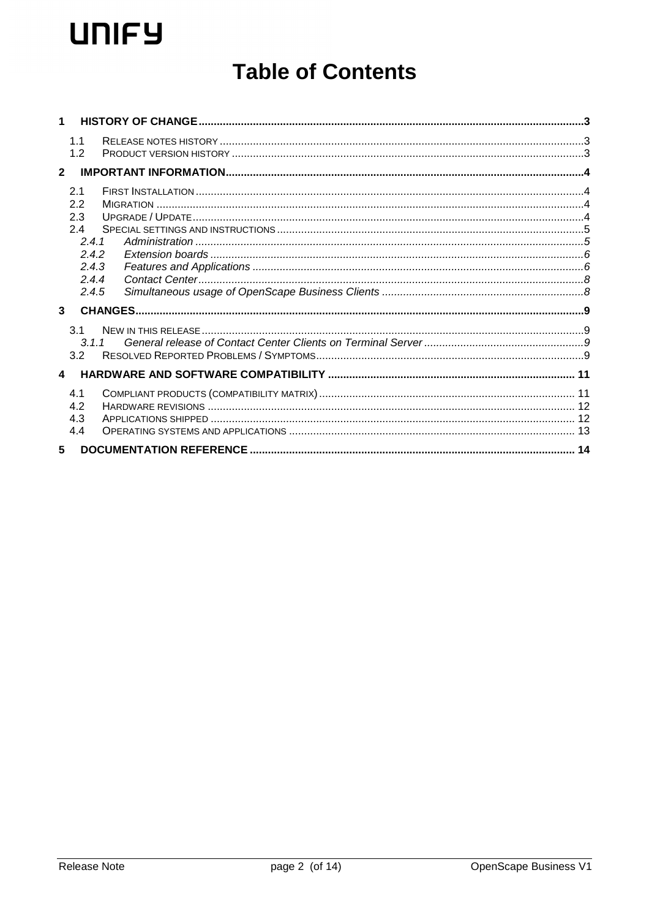# **Table of Contents**

| 1                |                                                                       |  |
|------------------|-----------------------------------------------------------------------|--|
|                  | 1.1<br>1.2                                                            |  |
| $\mathbf{2}$     |                                                                       |  |
|                  | 2.1<br>2.2<br>2.3<br>2.4<br>2.4.1<br>2.4.2<br>2.4.3<br>2.4.4<br>2.4.5 |  |
| $\mathbf{3}$     |                                                                       |  |
|                  | 3.1<br>311<br>3.2                                                     |  |
| $\blacktriangle$ |                                                                       |  |
|                  | 4.1<br>4.2<br>4.3<br>4.4                                              |  |
| 5                |                                                                       |  |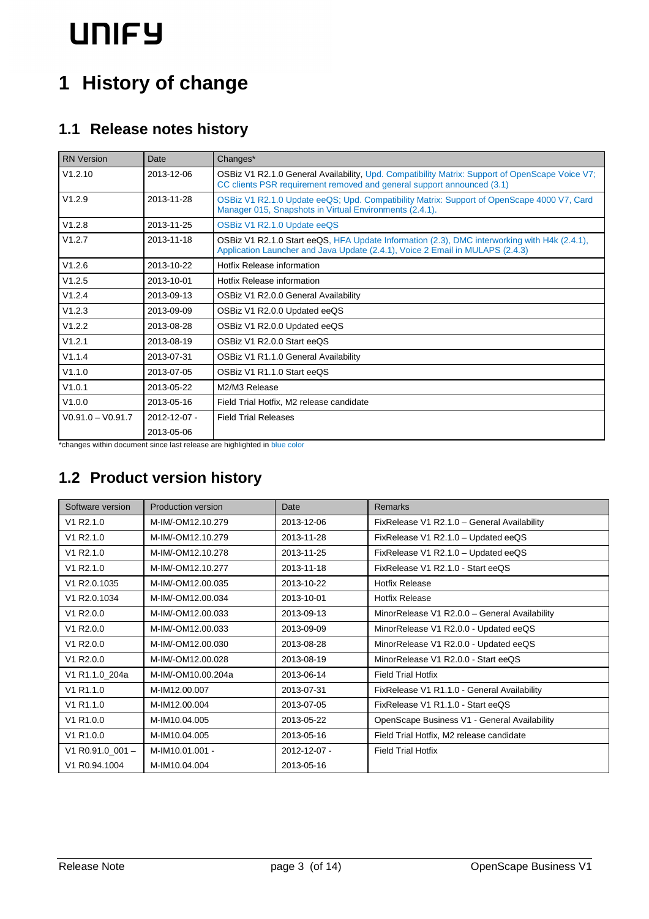# **1 History of change**

## **1.1 Release notes history**

| <b>RN</b> Version   | Date               | Changes*                                                                                                                                                                      |  |
|---------------------|--------------------|-------------------------------------------------------------------------------------------------------------------------------------------------------------------------------|--|
| V1.2.10             | 2013-12-06         | OSBiz V1 R2.1.0 General Availability, Upd. Compatibility Matrix: Support of OpenScape Voice V7;<br>CC clients PSR requirement removed and general support announced (3.1)     |  |
| V1.2.9              | 2013-11-28         | OSBiz V1 R2.1.0 Update eeQS; Upd. Compatibility Matrix: Support of OpenScape 4000 V7, Card<br>Manager 015, Snapshots in Virtual Environments (2.4.1).                         |  |
| V1.2.8              | 2013-11-25         | OSBiz V1 R2.1.0 Update eeQS                                                                                                                                                   |  |
| V1.2.7              | 2013-11-18         | OSBiz V1 R2.1.0 Start eeQS, HFA Update Information (2.3), DMC interworking with H4k (2.4.1),<br>Application Launcher and Java Update (2.4.1), Voice 2 Email in MULAPS (2.4.3) |  |
| V1.2.6              | 2013-10-22         | Hotfix Release information                                                                                                                                                    |  |
| V1.2.5              | 2013-10-01         | Hotfix Release information                                                                                                                                                    |  |
| V1.2.4              | 2013-09-13         | OSBiz V1 R2.0.0 General Availability                                                                                                                                          |  |
| V1.2.3              | 2013-09-09         | OSBiz V1 R2.0.0 Updated eeQS                                                                                                                                                  |  |
| V1.2.2              | 2013-08-28         | OSBiz V1 R2.0.0 Updated eeQS                                                                                                                                                  |  |
| V1.2.1              | 2013-08-19         | OSBiz V1 R2.0.0 Start eeQS                                                                                                                                                    |  |
| V1.1.4              | 2013-07-31         | OSBiz V1 R1.1.0 General Availability                                                                                                                                          |  |
| V1.1.0              | 2013-07-05         | OSBiz V1 R1.1.0 Start eeQS                                                                                                                                                    |  |
| V1.0.1              | 2013-05-22         | M2/M3 Release                                                                                                                                                                 |  |
| V1.0.0              | 2013-05-16         | Field Trial Hotfix, M2 release candidate                                                                                                                                      |  |
| $V0.91.0 - V0.91.7$ | $2012 - 12 - 07 -$ | <b>Field Trial Releases</b>                                                                                                                                                   |  |
|                     | 2013-05-06         |                                                                                                                                                                               |  |

\*changes within document since last release are highlighted in blue color

## **1.2 Product version history**

| Software version   | <b>Production version</b> | Date         | <b>Remarks</b>                                |
|--------------------|---------------------------|--------------|-----------------------------------------------|
| V1 R2.1.0          | M-IM/-OM12.10.279         | 2013-12-06   | FixRelease V1 R2.1.0 - General Availability   |
| V1 R2.1.0          | M-IM/-OM12.10.279         | 2013-11-28   | FixRelease V1 R2.1.0 - Updated eeQS           |
| V1 R2.1.0          | M-IM/-OM12.10.278         | 2013-11-25   | FixRelease V1 R2.1.0 - Updated eeQS           |
| V1 R2.1.0          | M-IM/-OM12.10.277         | 2013-11-18   | FixRelease V1 R2.1.0 - Start eeQS             |
| V1 R2.0.1035       | M-IM/-OM12.00.035         | 2013-10-22   | <b>Hotfix Release</b>                         |
| V1 R2.0.1034       | M-IM/-OM12.00.034         | 2013-10-01   | <b>Hotfix Release</b>                         |
| V1 R2.0.0          | M-IM/-OM12.00.033         | 2013-09-13   | MinorRelease V1 R2.0.0 - General Availability |
| V1 R2.0.0          | M-IM/-OM12.00.033         | 2013-09-09   | MinorRelease V1 R2.0.0 - Updated eeQS         |
| V1 R2.0.0          | M-IM/-OM12.00.030         | 2013-08-28   | MinorRelease V1 R2.0.0 - Updated eeQS         |
| V1 R2.0.0          | M-IM/-OM12.00.028         | 2013-08-19   | MinorRelease V1 R2.0.0 - Start eeQS           |
| V1 R1.1.0_204a     | M-IM/-OM10.00.204a        | 2013-06-14   | <b>Field Trial Hotfix</b>                     |
| V1 R1.1.0          | M-IM12.00.007             | 2013-07-31   | FixRelease V1 R1.1.0 - General Availability   |
| V1 R1.1.0          | M-IM12.00.004             | 2013-07-05   | FixRelease V1 R1.1.0 - Start eeQS             |
| V1 R1.0.0          | M-IM10.04.005             | 2013-05-22   | OpenScape Business V1 - General Availability  |
| V1 R1.0.0          | M-IM10.04.005             | 2013-05-16   | Field Trial Hotfix, M2 release candidate      |
| V1 R0.91.0 001 $-$ | M-IM10.01.001 -           | 2012-12-07 - | <b>Field Trial Hotfix</b>                     |
| V1 R0.94.1004      | M-IM10.04.004             | 2013-05-16   |                                               |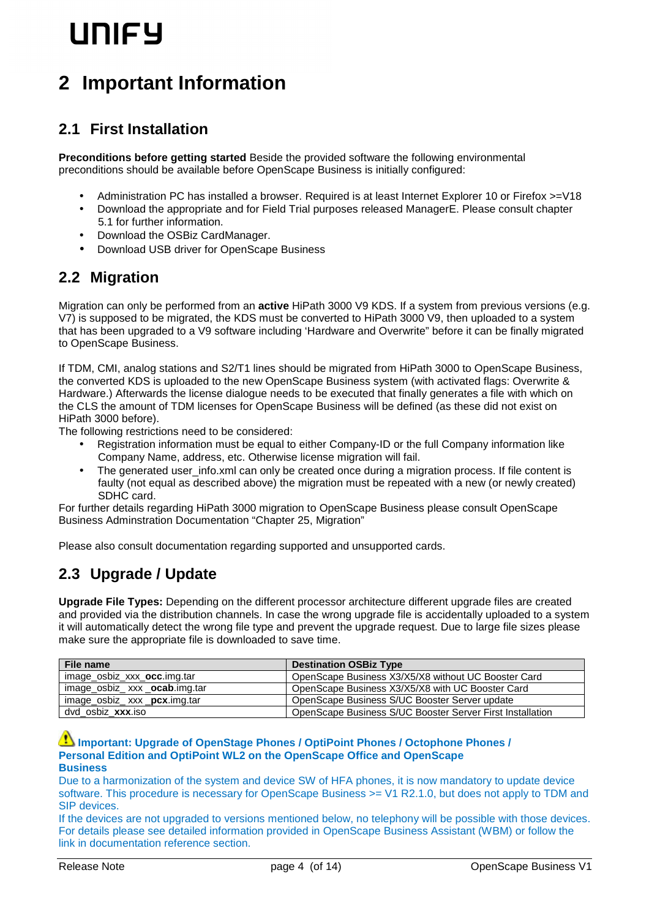# **LINIFY**

## **2 Important Information**

### **2.1 First Installation**

**Preconditions before getting started** Beside the provided software the following environmental preconditions should be available before OpenScape Business is initially configured:

- Administration PC has installed a browser. Required is at least Internet Explorer 10 or Firefox >=V18
- Download the appropriate and for Field Trial purposes released ManagerE. Please consult chapter 5.1 for further information.
- Download the OSBiz CardManager.
- Download USB driver for OpenScape Business

### **2.2 Migration**

Migration can only be performed from an **active** HiPath 3000 V9 KDS. If a system from previous versions (e.g. V7) is supposed to be migrated, the KDS must be converted to HiPath 3000 V9, then uploaded to a system that has been upgraded to a V9 software including 'Hardware and Overwrite" before it can be finally migrated to OpenScape Business.

If TDM, CMI, analog stations and S2/T1 lines should be migrated from HiPath 3000 to OpenScape Business, the converted KDS is uploaded to the new OpenScape Business system (with activated flags: Overwrite & Hardware.) Afterwards the license dialogue needs to be executed that finally generates a file with which on the CLS the amount of TDM licenses for OpenScape Business will be defined (as these did not exist on HiPath 3000 before).

The following restrictions need to be considered:

- Registration information must be equal to either Company-ID or the full Company information like Company Name, address, etc. Otherwise license migration will fail.
- The generated user\_info.xml can only be created once during a migration process. If file content is faulty (not equal as described above) the migration must be repeated with a new (or newly created) SDHC card.

For further details regarding HiPath 3000 migration to OpenScape Business please consult OpenScape Business Adminstration Documentation "Chapter 25, Migration"

Please also consult documentation regarding supported and unsupported cards.

### **2.3 Upgrade / Update**

**Upgrade File Types:** Depending on the different processor architecture different upgrade files are created and provided via the distribution channels. In case the wrong upgrade file is accidentally uploaded to a system it will automatically detect the wrong file type and prevent the upgrade request. Due to large file sizes please make sure the appropriate file is downloaded to save time.

| File name                      | <b>Destination OSBiz Type</b>                             |
|--------------------------------|-----------------------------------------------------------|
| image_osbiz_xxx_occ.img.tar    | OpenScape Business X3/X5/X8 without UC Booster Card       |
| image_osbiz_ xxx _ocab.img.tar | OpenScape Business X3/X5/X8 with UC Booster Card          |
| image_osbiz_ xxx _pcx.img.tar  | OpenScape Business S/UC Booster Server update             |
| dvd osbiz xxx.iso              | OpenScape Business S/UC Booster Server First Installation |

#### **Important: Upgrade of OpenStage Phones / OptiPoint Phones / Octophone Phones / Personal Edition and OptiPoint WL2 on the OpenScape Office and OpenScape Business**

Due to a harmonization of the system and device SW of HFA phones, it is now mandatory to update device software. This procedure is necessary for OpenScape Business  $\geq$  V1 R2.1.0, but does not apply to TDM and SIP devices.

If the devices are not upgraded to versions mentioned below, no telephony will be possible with those devices. For details please see detailed information provided in OpenScape Business Assistant (WBM) or follow the link in documentation reference section.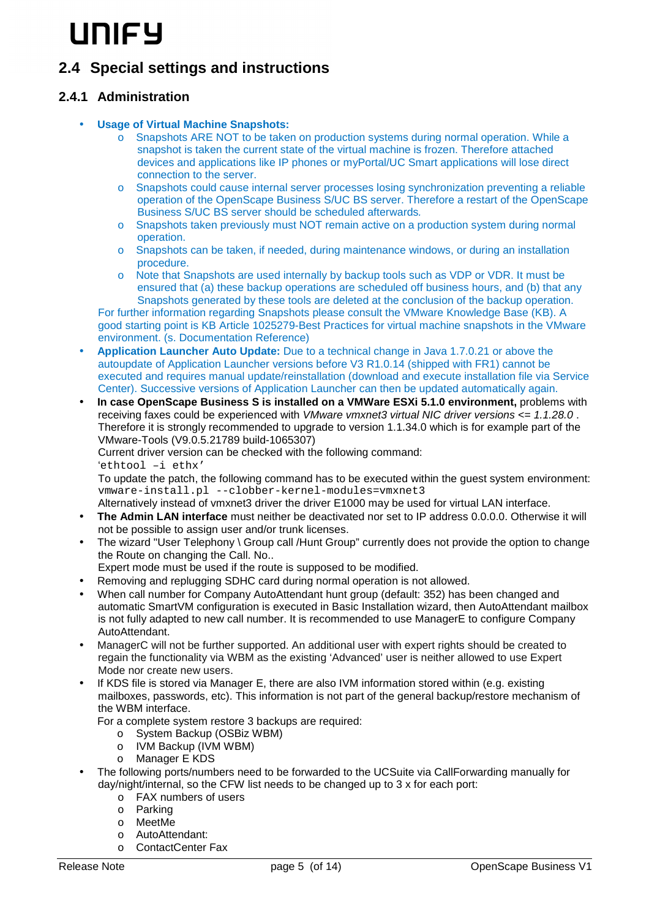# **IINICY**

### **2.4 Special settings and instructions**

#### **2.4.1 Administration**

- **Usage of Virtual Machine Snapshots:** 
	- o Snapshots ARE NOT to be taken on production systems during normal operation. While a snapshot is taken the current state of the virtual machine is frozen. Therefore attached devices and applications like IP phones or myPortal/UC Smart applications will lose direct connection to the server.
	- o Snapshots could cause internal server processes losing synchronization preventing a reliable operation of the OpenScape Business S/UC BS server. Therefore a restart of the OpenScape Business S/UC BS server should be scheduled afterwards.
	- o Snapshots taken previously must NOT remain active on a production system during normal operation.
	- o Snapshots can be taken, if needed, during maintenance windows, or during an installation procedure.
	- o Note that Snapshots are used internally by backup tools such as VDP or VDR. It must be ensured that (a) these backup operations are scheduled off business hours, and (b) that any Snapshots generated by these tools are deleted at the conclusion of the backup operation.

For further information regarding Snapshots please consult the VMware Knowledge Base (KB). A good starting point is KB Article 1025279-Best Practices for virtual machine snapshots in the VMware environment. (s. Documentation Reference)

- **Application Launcher Auto Update:** Due to a technical change in Java 1.7.0.21 or above the autoupdate of Application Launcher versions before V3 R1.0.14 (shipped with FR1) cannot be executed and requires manual update/reinstallation (download and execute installation file via Service Center). Successive versions of Application Launcher can then be updated automatically again.
- **In case OpenScape Business S is installed on a VMWare ESXi 5.1.0 environment,** problems with receiving faxes could be experienced with VMware vmxnet3 virtual NIC driver versions  $\leq 1.1.28.0$ . Therefore it is strongly recommended to upgrade to version 1.1.34.0 which is for example part of the VMware-Tools (V9.0.5.21789 build-1065307)

Current driver version can be checked with the following command:

'ethtool –i ethx'

To update the patch, the following command has to be executed within the guest system environment: vmware-install.pl --clobber-kernel-modules=vmxnet3

Alternatively instead of vmxnet3 driver the driver E1000 may be used for virtual LAN interface.

- **The Admin LAN interface** must neither be deactivated nor set to IP address 0.0.0.0. Otherwise it will not be possible to assign user and/or trunk licenses.
- The wizard "User Telephony \ Group call /Hunt Group" currently does not provide the option to change the Route on changing the Call. No..
- Expert mode must be used if the route is supposed to be modified.
- Removing and replugging SDHC card during normal operation is not allowed.
- When call number for Company AutoAttendant hunt group (default: 352) has been changed and automatic SmartVM configuration is executed in Basic Installation wizard, then AutoAttendant mailbox is not fully adapted to new call number. It is recommended to use ManagerE to configure Company AutoAttendant.
- ManagerC will not be further supported. An additional user with expert rights should be created to regain the functionality via WBM as the existing 'Advanced' user is neither allowed to use Expert Mode nor create new users.
- If KDS file is stored via Manager E, there are also IVM information stored within (e.g. existing mailboxes, passwords, etc). This information is not part of the general backup/restore mechanism of the WBM interface.

For a complete system restore 3 backups are required:

- o System Backup (OSBiz WBM)
- o IVM Backup (IVM WBM)
- o Manager E KDS
- The following ports/numbers need to be forwarded to the UCSuite via CallForwarding manually for day/night/internal, so the CFW list needs to be changed up to 3 x for each port:
	- o FAX numbers of users
	- o Parking
	- o MeetMe
	- o AutoAttendant:
	- o ContactCenter Fax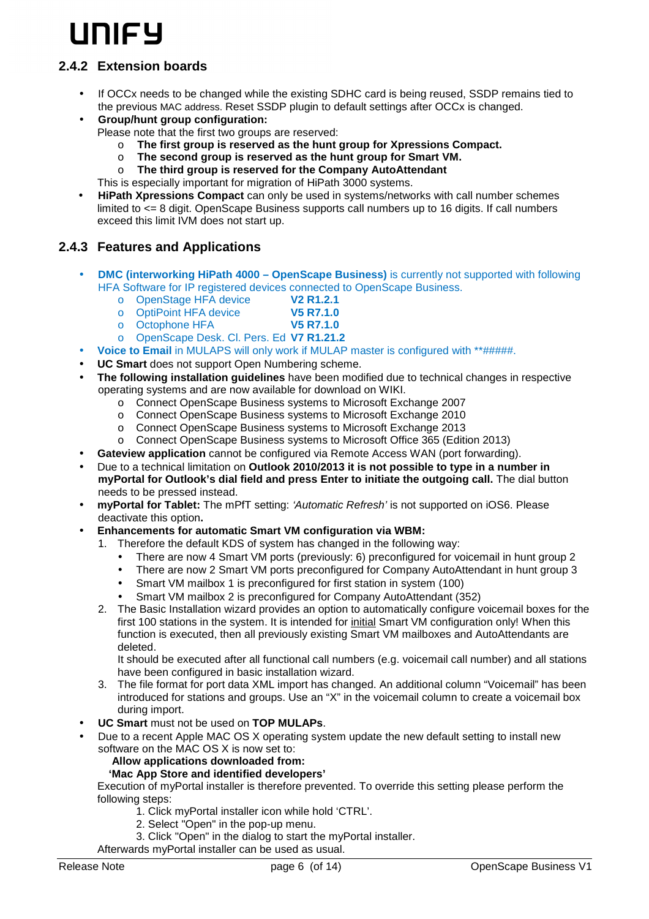# **IINICY**

#### **2.4.2 Extension boards**

- If OCCx needs to be changed while the existing SDHC card is being reused, SSDP remains tied to the previous MAC address. Reset SSDP plugin to default settings after OCCx is changed.
- **Group/hunt group configuration:**  Please note that the first two groups are reserved:
	- o **The first group is reserved as the hunt group for Xpressions Compact.**
	- o **The second group is reserved as the hunt group for Smart VM.**
	- o **The third group is reserved for the Company AutoAttendant**

This is especially important for migration of HiPath 3000 systems.

• **HiPath Xpressions Compact** can only be used in systems/networks with call number schemes limited to <= 8 digit. OpenScape Business supports call numbers up to 16 digits. If call numbers exceed this limit IVM does not start up.

#### **2.4.3 Features and Applications**

- **DMC (interworking HiPath 4000 OpenScape Business)** is currently not supported with following HFA Software for IP registered devices connected to OpenScape Business.
	- o OpenStage HFA device **V2 R1.2.1**
	- o OptiPoint HFA device **V5 R7.1.0**
	- o Octophone HFA **V5 R7.1.0**
	- o OpenScape Desk. Cl. Pers. Ed **V7 R1.21.2**
- **Voice to Email** in MULAPS will only work if MULAP master is configured with \*\*#####.
- **UC Smart** does not support Open Numbering scheme.
- **The following installation guidelines** have been modified due to technical changes in respective operating systems and are now available for download on WIKI.
	- o Connect OpenScape Business systems to Microsoft Exchange 2007
	- o Connect OpenScape Business systems to Microsoft Exchange 2010
	- o Connect OpenScape Business systems to Microsoft Exchange 2013
	- o Connect OpenScape Business systems to Microsoft Office 365 (Edition 2013)
- **Gateview application** cannot be configured via Remote Access WAN (port forwarding).
- Due to a technical limitation on **Outlook 2010/2013 it is not possible to type in a number in myPortal for Outlook's dial field and press Enter to initiate the outgoing call.** The dial button needs to be pressed instead.
- **myPortal for Tablet:** The mPfT setting: 'Automatic Refresh' is not supported on iOS6. Please deactivate this option**.**
- **Enhancements for automatic Smart VM configuration via WBM:** 
	- 1. Therefore the default KDS of system has changed in the following way:
		- There are now 4 Smart VM ports (previously: 6) preconfigured for voicemail in hunt group 2
		- There are now 2 Smart VM ports preconfigured for Company AutoAttendant in hunt group 3
		- Smart VM mailbox 1 is preconfigured for first station in system (100)
		- Smart VM mailbox 2 is preconfigured for Company AutoAttendant (352)
	- 2. The Basic Installation wizard provides an option to automatically configure voicemail boxes for the first 100 stations in the system. It is intended for initial Smart VM configuration only! When this function is executed, then all previously existing Smart VM mailboxes and AutoAttendants are deleted.

It should be executed after all functional call numbers (e.g. voicemail call number) and all stations have been configured in basic installation wizard.

- 3. The file format for port data XML import has changed. An additional column "Voicemail" has been introduced for stations and groups. Use an "X" in the voicemail column to create a voicemail box during import.
- **UC Smart** must not be used on **TOP MULAPs**.
- Due to a recent Apple MAC OS X operating system update the new default setting to install new software on the MAC OS X is now set to:

#### **Allow applications downloaded from:**

#### **'Mac App Store and identified developers'**

Execution of myPortal installer is therefore prevented. To override this setting please perform the following steps:

- 1. Click myPortal installer icon while hold 'CTRL'.
- 2. Select "Open" in the pop-up menu.
- 3. Click "Open" in the dialog to start the myPortal installer.

Afterwards myPortal installer can be used as usual.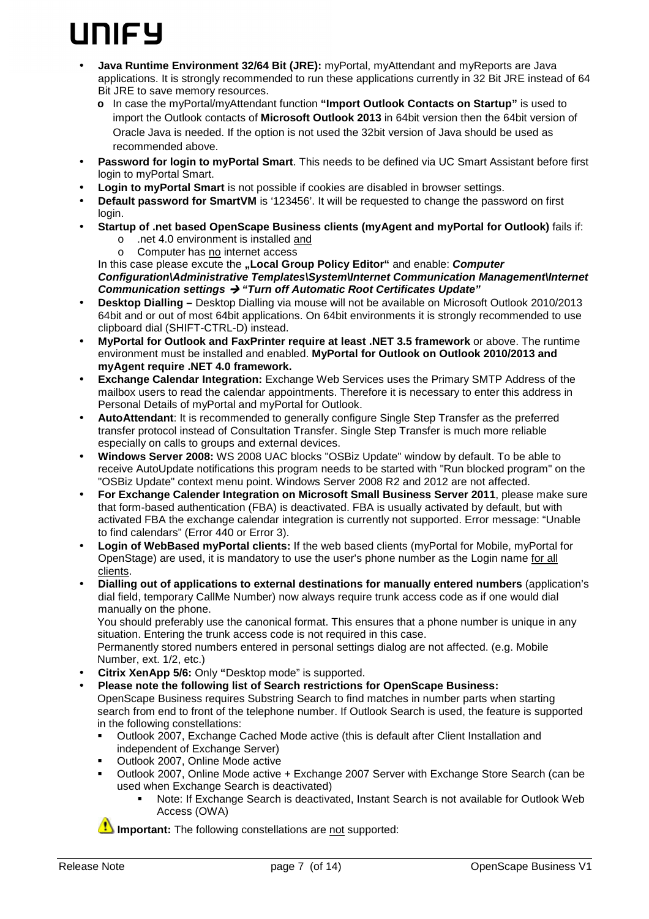# **INICY**

- **Java Runtime Environment 32/64 Bit (JRE):** myPortal, myAttendant and myReports are Java applications. It is strongly recommended to run these applications currently in 32 Bit JRE instead of 64 Bit JRE to save memory resources.
	- **o** In case the myPortal/myAttendant function **"Import Outlook Contacts on Startup"** is used to import the Outlook contacts of **Microsoft Outlook 2013** in 64bit version then the 64bit version of Oracle Java is needed. If the option is not used the 32bit version of Java should be used as recommended above.
- **Password for login to myPortal Smart**. This needs to be defined via UC Smart Assistant before first login to myPortal Smart.
- **Login to myPortal Smart** is not possible if cookies are disabled in browser settings.
- **Default password for SmartVM** is '123456'. It will be requested to change the password on first login.
- **Startup of .net based OpenScape Business clients (myAgent and myPortal for Outlook)** fails if: o .net 4.0 environment is installed and
	- o Computer has no internet access

In this case please excute the "Local Group Policy Editor" and enable: Computer **Configuration\Administrative Templates\System\Internet Communication Management\Internet** 

- **Communication settings "Turn off Automatic Root Certificates Update"**  • **Desktop Dialling –** Desktop Dialling via mouse will not be available on Microsoft Outlook 2010/2013 64bit and or out of most 64bit applications. On 64bit environments it is strongly recommended to use clipboard dial (SHIFT-CTRL-D) instead.
- **MyPortal for Outlook and FaxPrinter require at least .NET 3.5 framework** or above. The runtime environment must be installed and enabled. **MyPortal for Outlook on Outlook 2010/2013 and myAgent require .NET 4.0 framework.**
- **Exchange Calendar Integration:** Exchange Web Services uses the Primary SMTP Address of the mailbox users to read the calendar appointments. Therefore it is necessary to enter this address in Personal Details of myPortal and myPortal for Outlook.
- **AutoAttendant**: It is recommended to generally configure Single Step Transfer as the preferred transfer protocol instead of Consultation Transfer. Single Step Transfer is much more reliable especially on calls to groups and external devices.
- **Windows Server 2008:** WS 2008 UAC blocks "OSBiz Update" window by default. To be able to receive AutoUpdate notifications this program needs to be started with "Run blocked program" on the "OSBiz Update" context menu point. Windows Server 2008 R2 and 2012 are not affected.
- **For Exchange Calender Integration on Microsoft Small Business Server 2011**, please make sure that form-based authentication (FBA) is deactivated. FBA is usually activated by default, but with activated FBA the exchange calendar integration is currently not supported. Error message: "Unable to find calendars" (Error 440 or Error 3).
- **Login of WebBased myPortal clients:** If the web based clients (myPortal for Mobile, myPortal for OpenStage) are used, it is mandatory to use the user's phone number as the Login name for all clients.
- **Dialling out of applications to external destinations for manually entered numbers** (application's dial field, temporary CallMe Number) now always require trunk access code as if one would dial manually on the phone.

You should preferably use the canonical format. This ensures that a phone number is unique in any situation. Entering the trunk access code is not required in this case.

Permanently stored numbers entered in personal settings dialog are not affected. (e.g. Mobile Number, ext. 1/2, etc.)

- **Citrix XenApp 5/6:** Only **"**Desktop mode" is supported.
- **Please note the following list of Search restrictions for OpenScape Business:**  OpenScape Business requires Substring Search to find matches in number parts when starting search from end to front of the telephone number. If Outlook Search is used, the feature is supported in the following constellations:
	- - Outlook 2007, Exchange Cached Mode active (this is default after Client Installation and independent of Exchange Server)
	- -Outlook 2007, Online Mode active
	- - Outlook 2007, Online Mode active + Exchange 2007 Server with Exchange Store Search (can be used when Exchange Search is deactivated)
		- - Note: If Exchange Search is deactivated, Instant Search is not available for Outlook Web Access (OWA)

**Important:** The following constellations are not supported: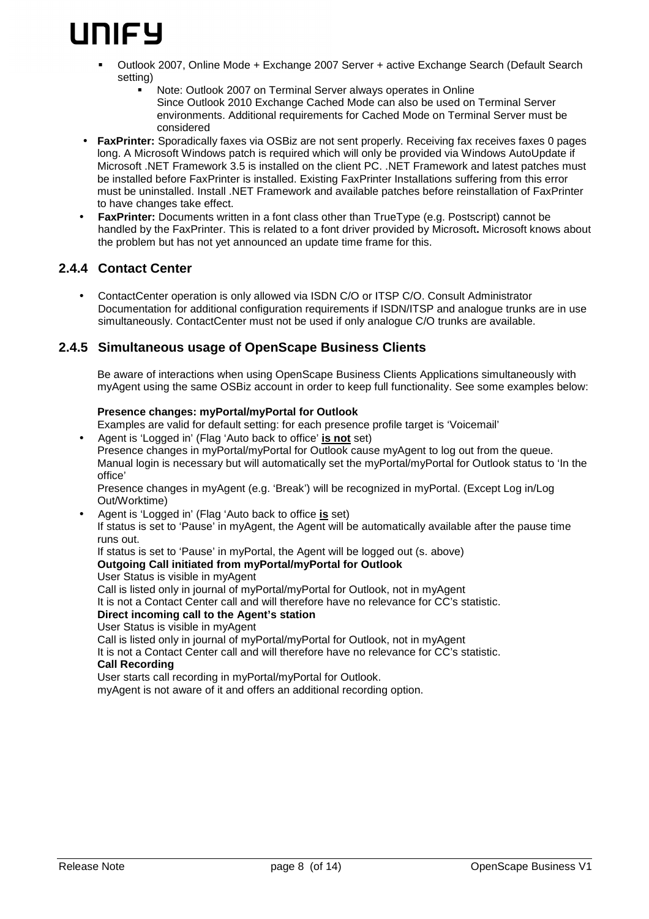

- - Outlook 2007, Online Mode + Exchange 2007 Server + active Exchange Search (Default Search setting)
	- - Note: Outlook 2007 on Terminal Server always operates in Online Since Outlook 2010 Exchange Cached Mode can also be used on Terminal Server environments. Additional requirements for Cached Mode on Terminal Server must be considered
- **FaxPrinter:** Sporadically faxes via OSBiz are not sent properly. Receiving fax receives faxes 0 pages long. A Microsoft Windows patch is required which will only be provided via Windows AutoUpdate if Microsoft .NET Framework 3.5 is installed on the client PC. .NET Framework and latest patches must be installed before FaxPrinter is installed. Existing FaxPrinter Installations suffering from this error must be uninstalled. Install .NET Framework and available patches before reinstallation of FaxPrinter to have changes take effect.
- **FaxPrinter:** Documents written in a font class other than TrueType (e.g. Postscript) cannot be handled by the FaxPrinter. This is related to a font driver provided by Microsoft**.** Microsoft knows about the problem but has not yet announced an update time frame for this.

#### **2.4.4 Contact Center**

• ContactCenter operation is only allowed via ISDN C/O or ITSP C/O. Consult Administrator Documentation for additional configuration requirements if ISDN/ITSP and analogue trunks are in use simultaneously. ContactCenter must not be used if only analogue C/O trunks are available.

#### **2.4.5 Simultaneous usage of OpenScape Business Clients**

Be aware of interactions when using OpenScape Business Clients Applications simultaneously with myAgent using the same OSBiz account in order to keep full functionality. See some examples below:

#### **Presence changes: myPortal/myPortal for Outlook**

Examples are valid for default setting: for each presence profile target is 'Voicemail'

• Agent is 'Logged in' (Flag 'Auto back to office' **is not** set) Presence changes in myPortal/myPortal for Outlook cause myAgent to log out from the queue. Manual login is necessary but will automatically set the myPortal/myPortal for Outlook status to 'In the office'

Presence changes in myAgent (e.g. 'Break') will be recognized in myPortal. (Except Log in/Log Out/Worktime)

• Agent is 'Logged in' (Flag 'Auto back to office **is** set)

If status is set to 'Pause' in myAgent, the Agent will be automatically available after the pause time runs out.

If status is set to 'Pause' in myPortal, the Agent will be logged out (s. above)

#### **Outgoing Call initiated from myPortal/myPortal for Outlook**

User Status is visible in myAgent

Call is listed only in journal of myPortal/myPortal for Outlook, not in myAgent

It is not a Contact Center call and will therefore have no relevance for CC's statistic.

#### **Direct incoming call to the Agent's station**

User Status is visible in myAgent

Call is listed only in journal of myPortal/myPortal for Outlook, not in myAgent

It is not a Contact Center call and will therefore have no relevance for CC's statistic.

#### **Call Recording**

User starts call recording in myPortal/myPortal for Outlook.

myAgent is not aware of it and offers an additional recording option.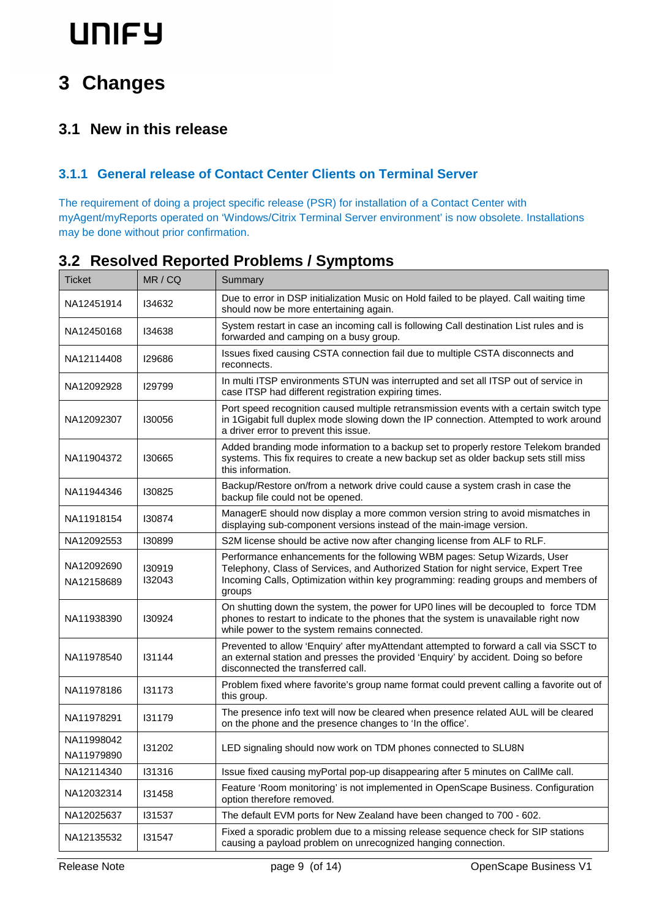# **3 Changes**

## **3.1 New in this release**

#### **3.1.1 General release of Contact Center Clients on Terminal Server**

The requirement of doing a project specific release (PSR) for installation of a Contact Center with myAgent/myReports operated on 'Windows/Citrix Terminal Server environment' is now obsolete. Installations may be done without prior confirmation.

| <b>Ticket</b>            | MR / CQ          | Summary                                                                                                                                                                                                                                                          |  |
|--------------------------|------------------|------------------------------------------------------------------------------------------------------------------------------------------------------------------------------------------------------------------------------------------------------------------|--|
| NA12451914               | 134632           | Due to error in DSP initialization Music on Hold failed to be played. Call waiting time<br>should now be more entertaining again.                                                                                                                                |  |
| NA12450168               | 134638           | System restart in case an incoming call is following Call destination List rules and is<br>forwarded and camping on a busy group.                                                                                                                                |  |
| NA12114408               | 129686           | Issues fixed causing CSTA connection fail due to multiple CSTA disconnects and<br>reconnects.                                                                                                                                                                    |  |
| NA12092928               | <b>I29799</b>    | In multi ITSP environments STUN was interrupted and set all ITSP out of service in<br>case ITSP had different registration expiring times.                                                                                                                       |  |
| NA12092307               | 130056           | Port speed recognition caused multiple retransmission events with a certain switch type<br>in 1Gigabit full duplex mode slowing down the IP connection. Attempted to work around<br>a driver error to prevent this issue.                                        |  |
| NA11904372               | <b>I30665</b>    | Added branding mode information to a backup set to properly restore Telekom branded<br>systems. This fix requires to create a new backup set as older backup sets still miss<br>this information.                                                                |  |
| NA11944346               | <b>I30825</b>    | Backup/Restore on/from a network drive could cause a system crash in case the<br>backup file could not be opened.                                                                                                                                                |  |
| NA11918154               | 130874           | ManagerE should now display a more common version string to avoid mismatches in<br>displaying sub-component versions instead of the main-image version.                                                                                                          |  |
| NA12092553               | 130899           | S2M license should be active now after changing license from ALF to RLF.                                                                                                                                                                                         |  |
| NA12092690<br>NA12158689 | 130919<br>132043 | Performance enhancements for the following WBM pages: Setup Wizards, User<br>Telephony, Class of Services, and Authorized Station for night service, Expert Tree<br>Incoming Calls, Optimization within key programming: reading groups and members of<br>groups |  |
| NA11938390               | 130924           | On shutting down the system, the power for UP0 lines will be decoupled to force TDM<br>phones to restart to indicate to the phones that the system is unavailable right now<br>while power to the system remains connected.                                      |  |
| NA11978540               | 131144           | Prevented to allow 'Enquiry' after myAttendant attempted to forward a call via SSCT to<br>an external station and presses the provided 'Enquiry' by accident. Doing so before<br>disconnected the transferred call.                                              |  |
| NA11978186               | 131173           | Problem fixed where favorite's group name format could prevent calling a favorite out of<br>this group.                                                                                                                                                          |  |
| NA11978291               | 131179           | The presence info text will now be cleared when presence related AUL will be cleared<br>on the phone and the presence changes to 'In the office'.                                                                                                                |  |
| NA11998042<br>NA11979890 | 131202           | LED signaling should now work on TDM phones connected to SLU8N                                                                                                                                                                                                   |  |
| NA12114340               | 131316           | Issue fixed causing myPortal pop-up disappearing after 5 minutes on CallMe call.                                                                                                                                                                                 |  |
| NA12032314               | 131458           | Feature 'Room monitoring' is not implemented in OpenScape Business. Configuration<br>option therefore removed.                                                                                                                                                   |  |
| NA12025637               | 131537           | The default EVM ports for New Zealand have been changed to 700 - 602.                                                                                                                                                                                            |  |
| NA12135532               | 131547           | Fixed a sporadic problem due to a missing release sequence check for SIP stations<br>causing a payload problem on unrecognized hanging connection.                                                                                                               |  |

### **3.2 Resolved Reported Problems / Symptoms**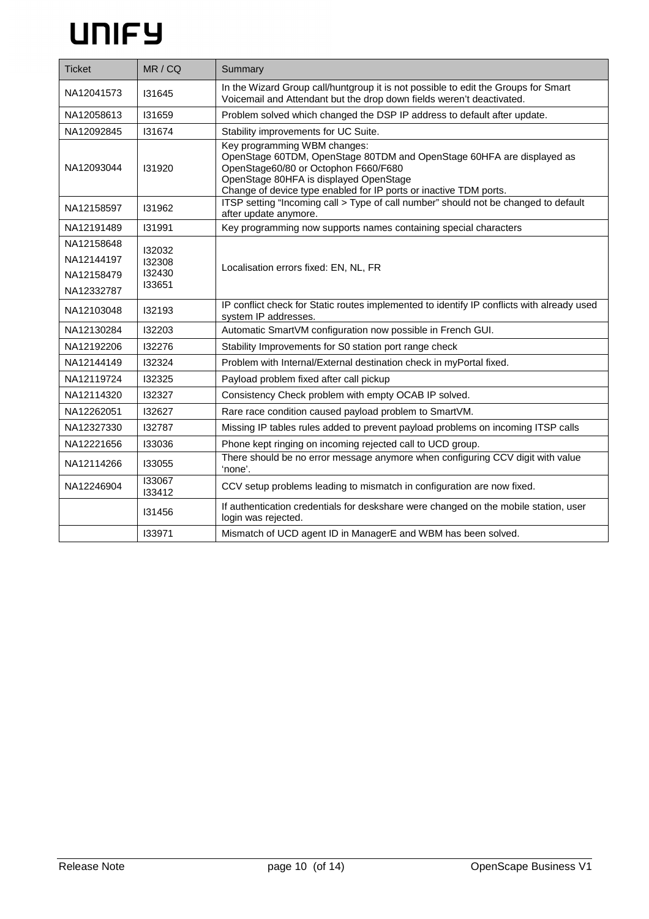| <b>Ticket</b> | MR/CQ            | Summary                                                                                                                                                                                                                                                      |  |  |
|---------------|------------------|--------------------------------------------------------------------------------------------------------------------------------------------------------------------------------------------------------------------------------------------------------------|--|--|
| NA12041573    | 131645           | In the Wizard Group call/huntgroup it is not possible to edit the Groups for Smart<br>Voicemail and Attendant but the drop down fields weren't deactivated.                                                                                                  |  |  |
| NA12058613    | 131659           | Problem solved which changed the DSP IP address to default after update.                                                                                                                                                                                     |  |  |
| NA12092845    | 131674           | Stability improvements for UC Suite.                                                                                                                                                                                                                         |  |  |
| NA12093044    | 131920           | Key programming WBM changes:<br>OpenStage 60TDM, OpenStage 80TDM and OpenStage 60HFA are displayed as<br>OpenStage60/80 or Octophon F660/F680<br>OpenStage 80HFA is displayed OpenStage<br>Change of device type enabled for IP ports or inactive TDM ports. |  |  |
| NA12158597    | 131962           | ITSP setting "Incoming call > Type of call number" should not be changed to default<br>after update anymore.                                                                                                                                                 |  |  |
| NA12191489    | 131991           | Key programming now supports names containing special characters                                                                                                                                                                                             |  |  |
| NA12158648    | 132032           |                                                                                                                                                                                                                                                              |  |  |
| NA12144197    | 132308           | Localisation errors fixed: EN, NL, FR                                                                                                                                                                                                                        |  |  |
| NA12158479    | 132430<br>133651 |                                                                                                                                                                                                                                                              |  |  |
| NA12332787    |                  |                                                                                                                                                                                                                                                              |  |  |
| NA12103048    | 132193           | IP conflict check for Static routes implemented to identify IP conflicts with already used<br>system IP addresses.                                                                                                                                           |  |  |
| NA12130284    | 132203           | Automatic SmartVM configuration now possible in French GUI.                                                                                                                                                                                                  |  |  |
| NA12192206    | 132276           | Stability Improvements for S0 station port range check                                                                                                                                                                                                       |  |  |
| NA12144149    | 132324           | Problem with Internal/External destination check in myPortal fixed.                                                                                                                                                                                          |  |  |
| NA12119724    | 132325           | Payload problem fixed after call pickup                                                                                                                                                                                                                      |  |  |
| NA12114320    | 132327           | Consistency Check problem with empty OCAB IP solved.                                                                                                                                                                                                         |  |  |
| NA12262051    | 132627           | Rare race condition caused payload problem to SmartVM.                                                                                                                                                                                                       |  |  |
| NA12327330    | 132787           | Missing IP tables rules added to prevent payload problems on incoming ITSP calls                                                                                                                                                                             |  |  |
| NA12221656    | 133036           | Phone kept ringing on incoming rejected call to UCD group.                                                                                                                                                                                                   |  |  |
| NA12114266    | 133055           | There should be no error message anymore when configuring CCV digit with value<br>'none'.                                                                                                                                                                    |  |  |
| NA12246904    | 133067<br>133412 | CCV setup problems leading to mismatch in configuration are now fixed.                                                                                                                                                                                       |  |  |
|               | 131456           | If authentication credentials for deskshare were changed on the mobile station, user<br>login was rejected.                                                                                                                                                  |  |  |
|               | 133971           | Mismatch of UCD agent ID in ManagerE and WBM has been solved.                                                                                                                                                                                                |  |  |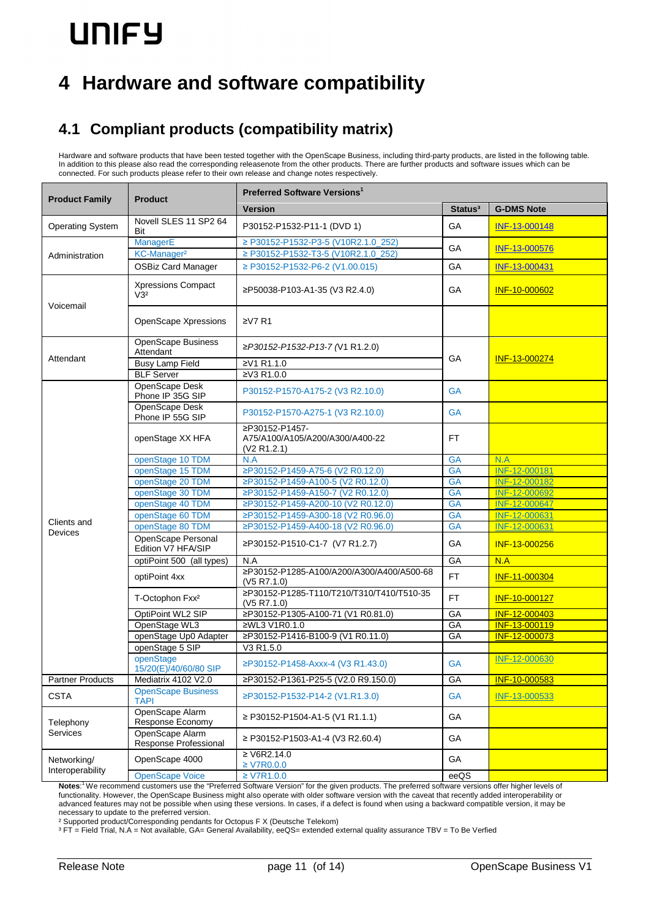# **4 Hardware and software compatibility**

## **4.1 Compliant products (compatibility matrix)**

Hardware and software products that have been tested together with the OpenScape Business, including third-party products, are listed in the following table. In addition to this please also read the corresponding releasenote from the other products. There are further products and software issues which can be connected. For such products please refer to their own release and change notes respectively.

| <b>Product Family</b><br><b>Product</b> |                                              | <b>Preferred Software Versions'</b>                                        |                     |                   |
|-----------------------------------------|----------------------------------------------|----------------------------------------------------------------------------|---------------------|-------------------|
|                                         |                                              | <b>Version</b>                                                             | Status <sup>3</sup> | <b>G-DMS Note</b> |
| <b>Operating System</b>                 | Novell SLES 11 SP2 64<br>Bit                 | P30152-P1532-P11-1 (DVD 1)                                                 | GA                  | INF-13-000148     |
| Administration                          | ManagerE<br>KC-Manager <sup>2</sup>          | ≥ P30152-P1532-P3-5 (V10R2.1.0_252)<br>≥ P30152-P1532-T3-5 (V10R2.1.0_252) | GA                  | INF-13-000576     |
|                                         | <b>OSBiz Card Manager</b>                    | ≥ P30152-P1532-P6-2 (V1.00.015)                                            | GA                  | INF-13-000431     |
| Voicemail                               | <b>Xpressions Compact</b><br>V3 <sup>2</sup> | ≥P50038-P103-A1-35 (V3 R2.4.0)                                             | GA                  | INF-10-000602     |
|                                         | <b>OpenScape Xpressions</b>                  | 2V7R1                                                                      |                     |                   |
| Attendant                               | OpenScape Business<br>Attendant              | ≥P30152-P1532-P13-7 (V1 R1.2.0)                                            | GA                  | INF-13-000274     |
|                                         | <b>Busy Lamp Field</b>                       | ≥V1 R1.1.0                                                                 |                     |                   |
|                                         | <b>BLF Server</b>                            | ≥V3 R1.0.0                                                                 |                     |                   |
|                                         | OpenScape Desk<br>Phone IP 35G SIP           | P30152-P1570-A175-2 (V3 R2.10.0)                                           | <b>GA</b>           |                   |
|                                         | OpenScape Desk<br>Phone IP 55G SIP           | P30152-P1570-A275-1 (V3 R2.10.0)                                           | <b>GA</b>           |                   |
|                                         | openStage XX HFA                             | ≥P30152-P1457-<br>A75/A100/A105/A200/A300/A400-22<br>(V2 R1.2.1)           | <b>FT</b>           |                   |
|                                         | openStage 10 TDM                             | N.A                                                                        | <b>GA</b>           | N.A               |
|                                         | openStage 15 TDM                             | ≥P30152-P1459-A75-6 (V2 R0.12.0)                                           | <b>GA</b>           | INF-12-000181     |
|                                         | openStage 20 TDM                             | ≥P30152-P1459-A100-5 (V2 R0.12.0)                                          | <b>GA</b>           | INF-12-000182     |
|                                         | openStage 30 TDM                             | ≥P30152-P1459-A150-7 (V2 R0.12.0)                                          | <b>GA</b>           | INF-12-000692     |
|                                         | openStage 40 TDM                             | ≥P30152-P1459-A200-10 (V2 R0.12.0)                                         | <b>GA</b>           | INF-12-000647     |
| Clients and                             | openStage 60 TDM                             | ≥P30152-P1459-A300-18 (V2 R0.96.0)                                         | <b>GA</b>           | INF-12-000631     |
| Devices                                 | openStage 80 TDM                             | ≥P30152-P1459-A400-18 (V2 R0.96.0)                                         | <b>GA</b>           | INF-12-000631     |
|                                         | OpenScape Personal<br>Edition V7 HFA/SIP     | ≥P30152-P1510-C1-7 (V7 R1.2.7)                                             | GA                  | INF-13-000256     |
|                                         | optiPoint 500 (all types)                    | N.A                                                                        | GA                  | N.A               |
|                                         | optiPoint 4xx                                | ≥P30152-P1285-A100/A200/A300/A400/A500-68<br>(V5 R7.1.0)                   | <b>FT</b>           | INF-11-000304     |
|                                         | T-Octophon Fxx <sup>2</sup>                  | ≥P30152-P1285-T110/T210/T310/T410/T510-35<br>(V5 R7.1.0)                   | <b>FT</b>           | INF-10-000127     |
|                                         | OptiPoint WL2 SIP                            | ≥P30152-P1305-A100-71 (V1 R0.81.0)                                         | GA                  | INF-12-000403     |
|                                         | OpenStage WL3                                | ≥WL3 V1R0.1.0                                                              | GA                  | INF-13-000119     |
|                                         | openStage Up0 Adapter                        | ≥P30152-P1416-B100-9 (V1 R0.11.0)                                          | GA                  | INF-12-000073     |
|                                         | openStage 5 SIP                              | V3 R1.5.0                                                                  |                     |                   |
|                                         | openStage<br>15/20(E)/40/60/80 SIP           | ≥P30152-P1458-Axxx-4 (V3 R1.43.0)                                          | <b>GA</b>           | INF-12-000630     |
| <b>Partner Products</b>                 | Mediatrix 4102 V2.0                          | ≥P30152-P1361-P25-5 (V2.0 R9.150.0)                                        | GA                  | INF-10-000583     |
| <b>CSTA</b>                             | <b>OpenScape Business</b><br><b>TAPI</b>     | ≥P30152-P1532-P14-2 (V1.R1.3.0)                                            | <b>GA</b>           | INF-13-000533     |
| Telephony                               | OpenScape Alarm<br>Response Economy          | ≥ P30152-P1504-A1-5 (V1 R1.1.1)                                            | GA                  |                   |
| <b>Services</b>                         | OpenScape Alarm<br>Response Professional     | ≥ P30152-P1503-A1-4 (V3 R2.60.4)                                           | GA                  |                   |
| Networking/<br>Interoperability         | OpenScape 4000                               | ≥ V6R2.14.0<br>$\geq$ V7R0.0.0                                             | GA                  |                   |
|                                         | <b>OpenScape Voice</b>                       | $\geq$ V7R1.0.0                                                            | eeQS                |                   |

**Notes**: <sup>1</sup>We recommend customers use the "Preferred Software Version" for the given products. The preferred software versions offer higher levels of functionality. However, the OpenScape Business might also operate with older software version with the caveat that recently added interoperability or advanced features may not be possible when using these versions. In cases, if a defect is found when using a backward compatible version, it may be necessary to update to the preferred version.

² Supported product/Corresponding pendants for Octopus F X (Deutsche Telekom)

³ FT = Field Trial, N.A = Not available, GA= General Availability, eeQS= extended external quality assurance TBV = To Be Verfied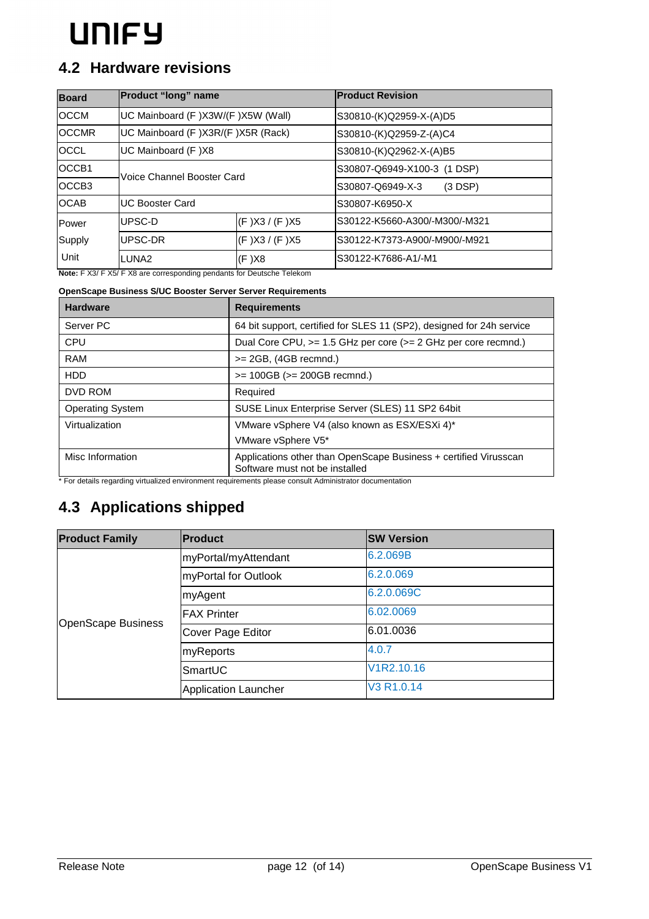### **4.2 Hardware revisions**

| <b>Board</b>      | <b>Product "long" name</b>        |                     | <b>Product Revision</b>       |
|-------------------|-----------------------------------|---------------------|-------------------------------|
| <b>OCCM</b>       | UC Mainboard (F)X3W/(F)X5W (Wall) |                     | S30810-(K)Q2959-X-(A)D5       |
| <b>OCCMR</b>      | UC Mainboard (F)X3R/(F)X5R (Rack) |                     | S30810-(K)Q2959-Z-(A)C4       |
| <b>OCCL</b>       | UC Mainboard (F)X8                |                     | S30810-(K)Q2962-X-(A)B5       |
| OCCB1             | Voice Channel Booster Card        |                     | S30807-Q6949-X100-3 (1 DSP)   |
| OCCB <sub>3</sub> |                                   |                     | S30807-Q6949-X-3<br>(3 DSP)   |
| <b>OCAB</b>       | <b>UC Booster Card</b>            |                     | S30807-K6950-X                |
| Power             | lUPSC-D                           | (F)X3 / (F)X5       | S30122-K5660-A300/-M300/-M321 |
| Supply            | lUPSC-DR                          | $(F)$ X3 / $(F)$ X5 | S30122-K7373-A900/-M900/-M921 |
| Unit              | LUNA <sub>2</sub>                 | (F)X8               | S30122-K7686-A1/-M1           |

**Note:** F X3/ F X5/ F X8 are corresponding pendants for Deutsche Telekom

### **OpenScape Business S/UC Booster Server Server Requirements**

| <b>Hardware</b>         | <b>Requirements</b>                                                                                |  |
|-------------------------|----------------------------------------------------------------------------------------------------|--|
| Server PC               | 64 bit support, certified for SLES 11 (SP2), designed for 24h service                              |  |
| CPU                     | Dual Core CPU, >= 1.5 GHz per core (>= 2 GHz per core recmnd.)                                     |  |
| RAM                     | $>= 2GB$ , (4GB recmnd.)                                                                           |  |
| <b>HDD</b>              | $>= 100GB (= 200GB$ recmnd.)                                                                       |  |
| DVD ROM                 | Required                                                                                           |  |
| <b>Operating System</b> | SUSE Linux Enterprise Server (SLES) 11 SP2 64bit                                                   |  |
| Virtualization          | VMware vSphere V4 (also known as ESX/ESXi 4)*                                                      |  |
|                         | VMware vSphere V5*                                                                                 |  |
| Misc Information        | Applications other than OpenScape Business + certified Virusscan<br>Software must not be installed |  |

\* For details regarding virtualized environment requirements please consult Administrator documentation

## **4.3 Applications shipped**

| <b>Product Family</b>     | <b>Product</b>              | <b>SW Version</b>                   |
|---------------------------|-----------------------------|-------------------------------------|
|                           | myPortal/myAttendant        | 6.2.069B                            |
|                           | myPortal for Outlook        | 6.2.0.069                           |
| <b>OpenScape Business</b> | myAgent                     | 6.2.0.069C                          |
|                           | <b>FAX Printer</b>          | 6.02.0069                           |
|                           | Cover Page Editor           | 6.01.0036                           |
|                           | myReports                   | 4.0.7                               |
|                           | SmartUC                     | V <sub>1</sub> R <sub>2.10.16</sub> |
|                           | <b>Application Launcher</b> | V3 R1.0.14                          |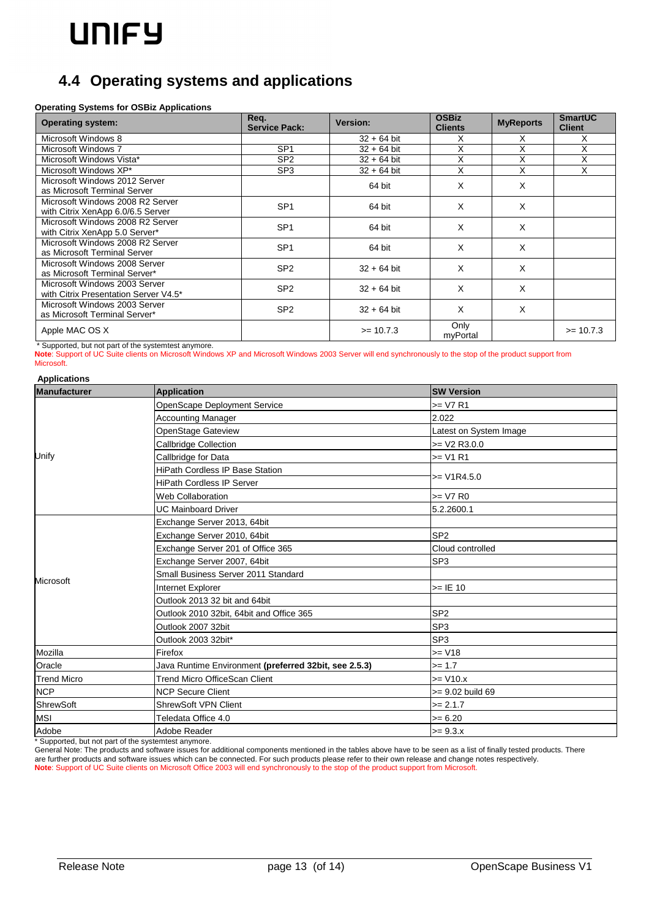## **4.4 Operating systems and applications**

#### **Operating Systems for OSBiz Applications**

| <b>Operating system:</b>                                               | Req.<br><b>Service Pack:</b> | Version:      | <b>OSBiz</b><br><b>Clients</b> | <b>MyReports</b> | <b>SmartUC</b><br><b>Client</b> |
|------------------------------------------------------------------------|------------------------------|---------------|--------------------------------|------------------|---------------------------------|
| Microsoft Windows 8                                                    |                              | $32 + 64$ bit | х                              | X                | х                               |
| Microsoft Windows 7                                                    | SP <sub>1</sub>              | $32 + 64$ bit | X                              | X                | X                               |
| Microsoft Windows Vista*                                               | SP <sub>2</sub>              | $32 + 64$ bit | X                              | Χ                | X                               |
| Microsoft Windows XP*                                                  | SP <sub>3</sub>              | $32 + 64$ bit | X                              | X                | X                               |
| Microsoft Windows 2012 Server<br>as Microsoft Terminal Server          |                              | 64 bit        | X                              | X                |                                 |
| Microsoft Windows 2008 R2 Server<br>with Citrix XenApp 6.0/6.5 Server  | SP <sub>1</sub>              | 64 bit        | X                              | X                |                                 |
| Microsoft Windows 2008 R2 Server<br>with Citrix XenApp 5.0 Server*     | SP <sub>1</sub>              | 64 bit        | X                              | X                |                                 |
| Microsoft Windows 2008 R2 Server<br>as Microsoft Terminal Server       | SP <sub>1</sub>              | 64 bit        | X                              | X                |                                 |
| Microsoft Windows 2008 Server<br>as Microsoft Terminal Server*         | SP <sub>2</sub>              | $32 + 64$ bit | X                              | X                |                                 |
| Microsoft Windows 2003 Server<br>with Citrix Presentation Server V4.5* | SP <sub>2</sub>              | $32 + 64$ bit | X                              | X                |                                 |
| Microsoft Windows 2003 Server<br>as Microsoft Terminal Server*         | SP <sub>2</sub>              | $32 + 64$ bit | X                              | X                |                                 |
| Apple MAC OS X                                                         |                              | $>= 10.7.3$   | Only<br>myPortal               |                  | $>= 10.7.3$                     |

\* Supported, but not part of the systemtest anymore.

**Note**: Support of UC Suite clients on Microsoft Windows XP and Microsoft Windows 2003 Server will end synchronously to the stop of the product support from Microsoft.

#### **Applications**

| <b>Manufacturer</b> | <b>Application</b>                                    | <b>SW Version</b>      |  |
|---------------------|-------------------------------------------------------|------------------------|--|
| Unify               | OpenScape Deployment Service                          | $>= V7 R1$             |  |
|                     | <b>Accounting Manager</b>                             | 2.022                  |  |
|                     | OpenStage Gateview                                    | Latest on System Image |  |
|                     | Callbridge Collection                                 | $>=$ V2 R3.0.0         |  |
|                     | Callbridge for Data                                   | $>= V1 R1$             |  |
|                     | <b>HiPath Cordless IP Base Station</b>                | $>= V1R4.5.0$          |  |
|                     | <b>HiPath Cordless IP Server</b>                      |                        |  |
|                     | <b>Web Collaboration</b>                              | $>=$ V7 R0             |  |
|                     | <b>UC Mainboard Driver</b>                            | 5.2.2600.1             |  |
| Microsoft           | Exchange Server 2013, 64bit                           |                        |  |
|                     | Exchange Server 2010, 64bit                           | SP <sub>2</sub>        |  |
|                     | Exchange Server 201 of Office 365                     | Cloud controlled       |  |
|                     | Exchange Server 2007, 64bit                           | SP <sub>3</sub>        |  |
|                     | Small Business Server 2011 Standard                   |                        |  |
|                     | Internet Explorer                                     | $>=$ IE 10             |  |
|                     | Outlook 2013 32 bit and 64bit                         |                        |  |
|                     | Outlook 2010 32bit, 64bit and Office 365              | SP <sub>2</sub>        |  |
|                     | Outlook 2007 32bit                                    | SP <sub>3</sub>        |  |
|                     | Outlook 2003 32bit*                                   | SP <sub>3</sub>        |  |
| Mozilla             | Firefox                                               | $>= V18$               |  |
| Oracle              | Java Runtime Environment (preferred 32bit, see 2.5.3) | $>= 1.7$               |  |
| <b>Trend Micro</b>  | <b>Trend Micro OfficeScan Client</b>                  | $>= V10.x$             |  |
| <b>NCP</b>          | <b>NCP Secure Client</b>                              | >= 9.02 build 69       |  |
| ShrewSoft           | <b>ShrewSoft VPN Client</b>                           | $>= 2.1.7$             |  |
| <b>MSI</b>          | Teledata Office 4.0                                   | $>= 6.20$              |  |
| Adobe               | Adobe Reader                                          | $>= 9.3.x$             |  |

\* Supported, but not part of the systemtest anymore.

General Note: The products and software issues for additional components mentioned in the tables above have to be seen as a list of finally tested products. There are further products and software issues which can be connected. For such products please refer to their own release and change notes respectively. **Note**: Support of UC Suite clients on Microsoft Office 2003 will end synchronously to the stop of the product support from Microsoft.